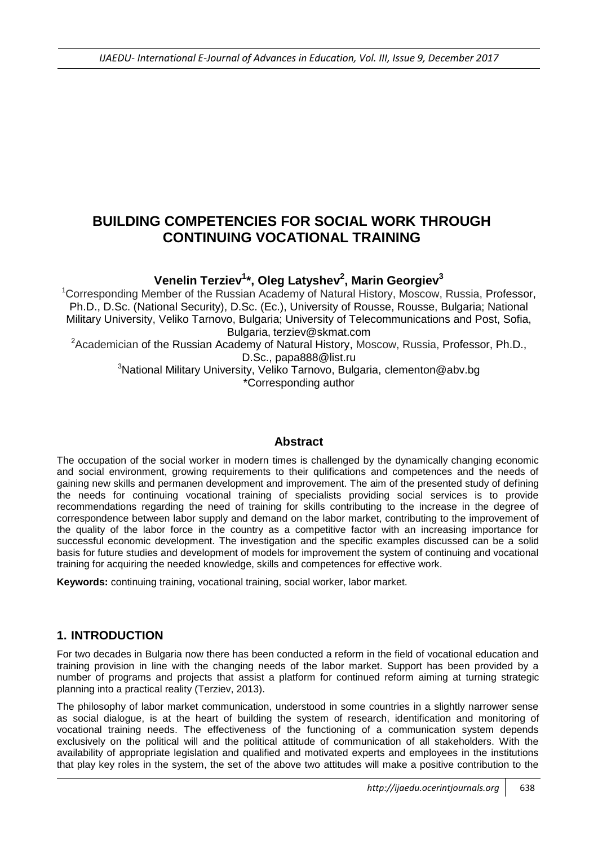# **BUILDING COMPETENCIES FOR SOCIAL WORK THROUGH CONTINUING VOCATIONAL TRAINING**

# **Venelin Terziev<sup>1</sup> \*, Oleg Latyshev<sup>2</sup> , Marin Georgiev<sup>3</sup>**

<sup>1</sup>Corresponding Member of the Russian Academy of Natural History, Moscow, Russia, Professor, Ph.D., D.Sc. (National Security), D.Sc. (Ec.), University of Rousse, Rousse, Bulgaria; National Military University, Veliko Tarnovo, Bulgaria; University of Telecommunications and Post, Sofia, Bulgaria, [terziev@skmat.com](mailto:terziev@skmat.com)

<sup>2</sup> Academician of the Russian Academy of Natural History, Moscow, Russia, Professor, Ph.D., D.Sc., papa888@list.ru

<sup>3</sup>National Military University, Veliko Tarnovo, Bulgaria, clementon@abv.bg \*Corresponding author

### **Abstract**

The occupation of the social worker in modern times is challenged by the dynamically changing economic and social environment, growing requirements to their qulifications and competences and the needs of gaining new skills and permanen development and improvement. The aim of the presented study of defining the needs for continuing vocational training of specialists providing social services is to provide recommendations regarding the need of training for skills contributing to the increase in the degree of correspondence between labor supply and demand on the labor market, contributing to the improvement of the quality of the labor force in the country as a competitive factor with an increasing importance for successful economic development. The investigation and the specific examples discussed can be a solid basis for future studies and development of models for improvement the system of continuing and vocational training for acquiring the needed knowledge, skills and competences for effective work.

**Keywords:** continuing training, vocational training, social worker, labor market.

# **1. INTRODUCTION**

For two decades in Bulgaria now there has been conducted a reform in the field of vocational education and training provision in line with the changing needs of the labor market. Support has been provided by a number of programs and projects that assist a platform for continued reform aiming at turning strategic planning into a practical reality (Terziev, 2013).

The philosophy of labor market communication, understood in some countries in a slightly narrower sense as social dialogue, is at the heart of building the system of research, identification and monitoring of vocational training needs. The effectiveness of the functioning of a communication system depends exclusively on the political will and the political attitude of communication of all stakeholders. With the availability of appropriate legislation and qualified and motivated experts and employees in the institutions that play key roles in the system, the set of the above two attitudes will make a positive contribution to the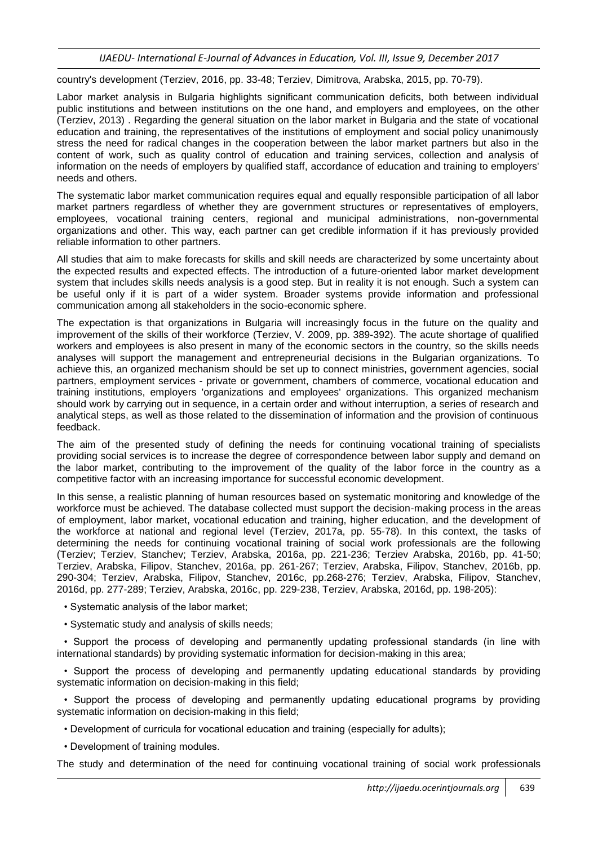country's development (Terziev, 2016, pp. 33-48; Terziev, Dimitrova, Arabska, 2015, pp. 70-79).

Labor market analysis in Bulgaria highlights significant communication deficits, both between individual public institutions and between institutions on the one hand, and employers and employees, on the other (Terziev, 2013) . Regarding the general situation on the labor market in Bulgaria and the state of vocational education and training, the representatives of the institutions of employment and social policy unanimously stress the need for radical changes in the cooperation between the labor market partners but also in the content of work, such as quality control of education and training services, collection and analysis of information on the needs of employers by qualified staff, accordance of education and training to employers' needs and others.

The systematic labor market communication requires equal and equally responsible participation of all labor market partners regardless of whether they are government structures or representatives of employers, employees, vocational training centers, regional and municipal administrations, non-governmental organizations and other. This way, each partner can get credible information if it has previously provided reliable information to other partners.

All studies that aim to make forecasts for skills and skill needs are characterized by some uncertainty about the expected results and expected effects. The introduction of a future-oriented labor market development system that includes skills needs analysis is a good step. But in reality it is not enough. Such a system can be useful only if it is part of a wider system. Broader systems provide information and professional communication among all stakeholders in the socio-economic sphere.

The expectation is that organizations in Bulgaria will increasingly focus in the future on the quality and improvement of the skills of their workforce (Terziev, V. 2009, pp. 389-392). The acute shortage of qualified workers and employees is also present in many of the economic sectors in the country, so the skills needs analyses will support the management and entrepreneurial decisions in the Bulgarian organizations. To achieve this, an organized mechanism should be set up to connect ministries, government agencies, social partners, employment services - private or government, chambers of commerce, vocational education and training institutions, employers 'organizations and employees' organizations. This organized mechanism should work by carrying out in sequence, in a certain order and without interruption, a series of research and analytical steps, as well as those related to the dissemination of information and the provision of continuous feedback.

The aim of the presented study of defining the needs for continuing vocational training of specialists providing social services is to increase the degree of correspondence between labor supply and demand on the labor market, contributing to the improvement of the quality of the labor force in the country as a competitive factor with an increasing importance for successful economic development.

In this sense, a realistic planning of human resources based on systematic monitoring and knowledge of the workforce must be achieved. The database collected must support the decision-making process in the areas of employment, labor market, vocational education and training, higher education, and the development of the workforce at national and regional level (Terziev, 2017a, pp. 55-78). In this context, the tasks of determining the needs for continuing vocational training of social work professionals are the following (Terziev; Terziev, Stanchev; Terziev, Arabska, 2016a, pp. 221-236; Terziev Arabska, 2016b, pp. 41-50; Terziev, Arabska, Filipov, Stanchev, 2016a, pp. 261-267; Terziev, Arabska, Filipov, Stanchev, 2016b, pp. 290-304; Terziev, Arabska, Filipov, Stanchev, 2016c, pp.268-276; Terziev, Arabska, Filipov, Stanchev, 2016d, pp. 277-289; Terziev, Arabska, 2016c, pp. 229-238, Terziev, Arabska, 2016d, pp. 198-205):

- Systematic analysis of the labor market;
- Systematic study and analysis of skills needs;

• Support the process of developing and permanently updating professional standards (in line with international standards) by providing systematic information for decision-making in this area;

• Support the process of developing and permanently updating educational standards by providing systematic information on decision-making in this field;

• Support the process of developing and permanently updating educational programs by providing systematic information on decision-making in this field;

• Development of curricula for vocational education and training (especially for adults);

• Development of training modules.

The study and determination of the need for continuing vocational training of social work professionals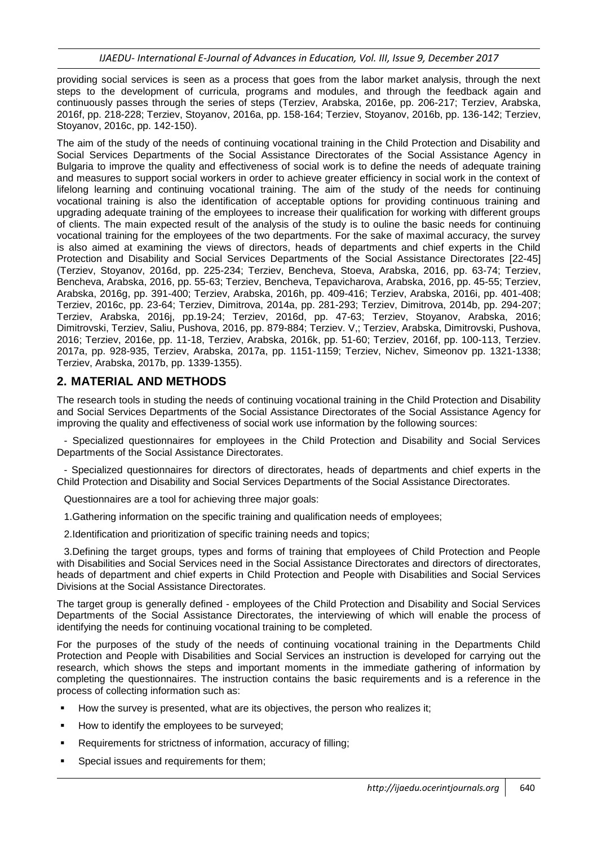providing social services is seen as a process that goes from the labor market analysis, through the next steps to the development of curricula, programs and modules, and through the feedback again and continuously passes through the series of steps (Terziev, Arabska, 2016e, pp. 206-217; Terziev, Arabska, 2016f, pp. 218-228; Terziev, Stoyanov, 2016a, pp. 158-164; Terziev, Stoyanov, 2016b, pp. 136-142; Terziev, Stoyanov, 2016c, pp. 142-150).

The aim of the study of the needs of continuing vocational training in the Child Protection and Disability and Social Services Departments of the Social Assistance Directorates of the Social Assistance Agency in Bulgaria to improve the quality and effectiveness of social work is to define the needs of adequate training and measures to support social workers in order to achieve greater efficiency in social work in the context of lifelong learning and continuing vocational training. The aim of the study of the needs for continuing vocational training is also the identification of acceptable options for providing continuous training and upgrading adequate training of the employees to increase their qualification for working with different groups of clients. The main expected result of the analysis of the study is to ouline the basic needs for continuing vocational training for the employees of the two departments. For the sake of maximal accuracy, the survey is also aimed at examining the views of directors, heads of departments and chief experts in the Child Protection and Disability and Social Services Departments of the Social Assistance Directorates [22-45] (Terziev, Stoyanov, 2016d, pp. 225-234; Terziev, Bencheva, Stoeva, Arabska, 2016, pp. 63-74; Terziev, Bencheva, Arabska, 2016, pp. 55-63; Terziev, Bencheva, Tepavicharova, Arabska, 2016, pp. 45-55; Terziev, Arabska, 2016g, pp. 391-400; Terziev, Arabska, 2016h, pp. 409-416; Terziev, Arabska, 2016i, pp. 401-408; Terziev, 2016c, pp. 23-64; Terziev, Dimitrova, 2014a, pp. 281-293; Terziev, Dimitrova, 2014b, pp. 294-207; Terziev, Arabska, 2016j, pp.19-24; Terziev, 2016d, pp. 47-63; Terziev, Stoyanov, Arabska, 2016; Dimitrovski, Terziev, Saliu, Pushova, 2016, pp. 879-884; Terziev. V,; Terziev, Arabska, Dimitrovski, Pushova, 2016; Terziev, 2016e, pp. 11-18, Terziev, Arabska, 2016k, pp. 51-60; Terziev, 2016f, pp. 100-113, Terziev. 2017a, pp. 928-935, Terziev, Arabska, 2017a, pp. 1151-1159; Terziev, Nichev, Simeonov pp. 1321-1338; Terziev, Arabska, 2017b, pp. 1339-1355).

## **2. MATERIAL AND METHODS**

The research tools in studing the needs of continuing vocational training in the Child Protection and Disability and Social Services Departments of the Social Assistance Directorates of the Social Assistance Agency for improving the quality and effectiveness of social work use information by the following sources:

- Specialized questionnaires for employees in the Child Protection and Disability and Social Services Departments of the Social Assistance Directorates.

- Specialized questionnaires for directors of directorates, heads of departments and chief experts in the Child Protection and Disability and Social Services Departments of the Social Assistance Directorates.

Questionnaires are a tool for achieving three major goals:

1.Gathering information on the specific training and qualification needs of employees;

2.Identification and prioritization of specific training needs and topics;

3.Defining the target groups, types and forms of training that employees of Child Protection and People with Disabilities and Social Services need in the Social Assistance Directorates and directors of directorates, heads of department and chief experts in Child Protection and People with Disabilities and Social Services Divisions at the Social Assistance Directorates.

The target group is generally defined - employees of the Child Protection and Disability and Social Services Departments of the Social Assistance Directorates, the interviewing of which will enable the process of identifying the needs for continuing vocational training to be completed.

For the purposes of the study of the needs of continuing vocational training in the Departments Child Protection and People with Disabilities and Social Services an instruction is developed for carrying out the research, which shows the steps and important moments in the immediate gathering of information by completing the questionnaires. The instruction contains the basic requirements and is a reference in the process of collecting information such as:

- How the survey is presented, what are its objectives, the person who realizes it;
- How to identify the employees to be surveyed;
- Requirements for strictness of information, accuracy of filling;
- Special issues and requirements for them;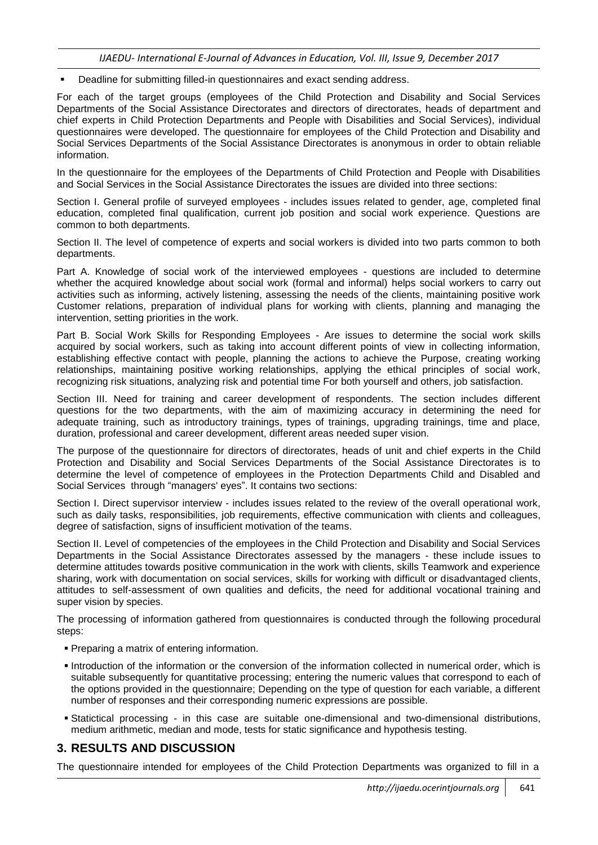Deadline for submitting filled-in questionnaires and exact sending address.

For each of the target groups (employees of the Child Protection and Disability and Social Services Departments of the Social Assistance Directorates and directors of directorates, heads of department and chief experts in Child Protection Departments and People with Disabilities and Social Services), individual questionnaires were developed. The questionnaire for employees of the Child Protection and Disability and Social Services Departments of the Social Assistance Directorates is anonymous in order to obtain reliable information.

In the questionnaire for the employees of the Departments of Child Protection and People with Disabilities and Social Services in the Social Assistance Directorates the issues are divided into three sections:

Section I. General profile of surveyed employees - includes issues related to gender, age, completed final education, completed final qualification, current job position and social work experience. Questions are common to both departments.

Section II. The level of competence of experts and social workers is divided into two parts common to both departments.

Part A. Knowledge of social work of the interviewed employees - questions are included to determine whether the acquired knowledge about social work (formal and informal) helps social workers to carry out activities such as informing, actively listening, assessing the needs of the clients, maintaining positive work Customer relations, preparation of individual plans for working with clients, planning and managing the intervention, setting priorities in the work.

Part B. Social Work Skills for Responding Employees - Are issues to determine the social work skills acquired by social workers, such as taking into account different points of view in collecting information, establishing effective contact with people, planning the actions to achieve the Purpose, creating working relationships, maintaining positive working relationships, applying the ethical principles of social work, recognizing risk situations, analyzing risk and potential time For both yourself and others, job satisfaction.

Section III. Need for training and career development of respondents. The section includes different questions for the two departments, with the aim of maximizing accuracy in determining the need for adequate training, such as introductory trainings, types of trainings, upgrading trainings, time and place, duration, professional and career development, different areas needed super vision.

The purpose of the questionnaire for directors of directorates, heads of unit and chief experts in the Child Protection and Disability and Social Services Departments of the Social Assistance Directorates is to determine the level of competence of employees in the Protection Departments Child and Disabled and Social Services through "managers' eyes". It contains two sections:

Section I. Direct supervisor interview - includes issues related to the review of the overall operational work, such as daily tasks, responsibilities, job requirements, effective communication with clients and colleagues, degree of satisfaction, signs of insufficient motivation of the teams.

Section II. Level of competencies of the employees in the Child Protection and Disability and Social Services Departments in the Social Assistance Directorates assessed by the managers - these include issues to determine attitudes towards positive communication in the work with clients, skills Teamwork and experience sharing, work with documentation on social services, skills for working with difficult or disadvantaged clients, attitudes to self-assessment of own qualities and deficits, the need for additional vocational training and super vision by species.

The processing of information gathered from questionnaires is conducted through the following procedural steps:

- Preparing a matrix of entering information.
- Introduction of the information or the conversion of the information collected in numerical order, which is suitable subsequently for quantitative processing; entering the numeric values that correspond to each of the options provided in the questionnaire; Depending on the type of question for each variable, a different number of responses and their corresponding numeric expressions are possible.
- Statictical processing in this case are suitable one-dimensional and two-dimensional distributions, medium arithmetic, median and mode, tests for static significance and hypothesis testing.

# **3. RESULTS AND DISCUSSION**

The questionnaire intended for employees of the Child Protection Departments was organized to fill in a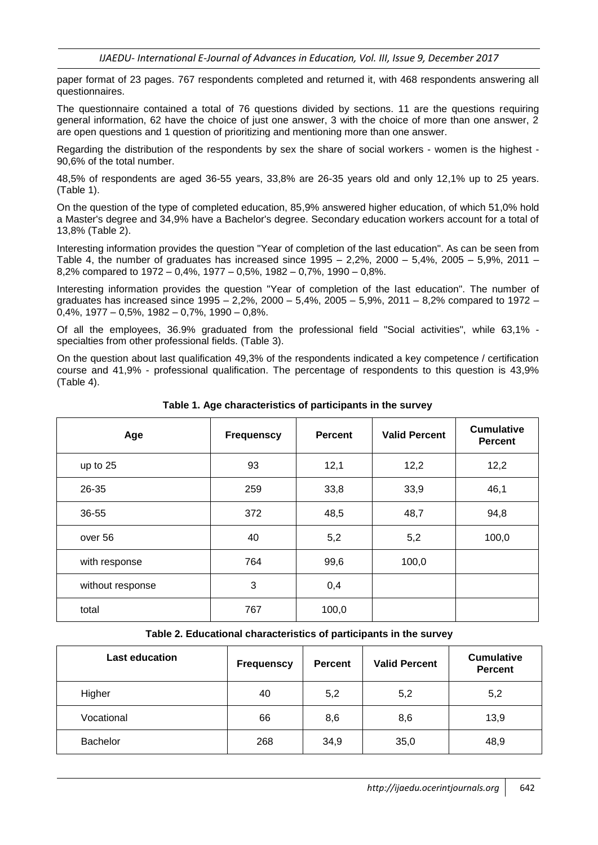paper format of 23 pages. 767 respondents completed and returned it, with 468 respondents answering all questionnaires.

The questionnaire contained a total of 76 questions divided by sections. 11 are the questions requiring general information, 62 have the choice of just one answer, 3 with the choice of more than one answer, 2 are open questions and 1 question of prioritizing and mentioning more than one answer.

Regarding the distribution of the respondents by sex the share of social workers - women is the highest - 90,6% of the total number.

48,5% of respondents are aged 36-55 years, 33,8% are 26-35 years old and only 12,1% up to 25 years. (Table 1).

On the question of the type of completed education, 85,9% answered higher education, of which 51,0% hold a Master's degree and 34,9% have a Bachelor's degree. Secondary education workers account for a total of 13,8% (Table 2).

Interesting information provides the question "Year of completion of the last education". As can be seen from Table 4, the number of graduates has increased since  $1995 - 2.2\%$ ,  $2000 - 5.4\%$ ,  $2005 - 5.9\%$ ,  $2011 -$ 8,2% compared to 1972 – 0,4%, 1977 – 0,5%, 1982 – 0,7%, 1990 – 0,8%.

Interesting information provides the question "Year of completion of the last education". The number of graduates has increased since 1995 – 2,2%, 2000 – 5,4%, 2005 – 5,9%, 2011 – 8,2% compared to 1972 –  $0.4\%$ , 1977 – 0,5%, 1982 – 0,7%, 1990 – 0,8%.

Of all the employees, 36.9% graduated from the professional field "Social activities", while 63,1% specialties from other professional fields. (Table 3).

On the question about last qualification 49,3% of the respondents indicated a key competence / certification course and 41,9% - professional qualification. The percentage of respondents to this question is 43,9% (Table 4).

| Age              | <b>Frequenscy</b> | <b>Percent</b> | <b>Valid Percent</b> | <b>Cumulative</b><br><b>Percent</b> |
|------------------|-------------------|----------------|----------------------|-------------------------------------|
| up to 25         | 93                | 12,1           | 12,2                 | 12,2                                |
| 26-35            | 259               | 33,8           | 33,9                 | 46,1                                |
| 36-55            | 372               | 48,5           | 48,7                 | 94,8                                |
| over 56          | 40                | 5,2            | 5,2                  | 100,0                               |
| with response    | 764               | 99,6           | 100,0                |                                     |
| without response | 3                 | 0,4            |                      |                                     |
| total            | 767               | 100,0          |                      |                                     |

**Table 1. Age characteristics of participants in the survey**

#### **Table 2. Educational characteristics of participants in the survey**

| <b>Last education</b> | <b>Frequenscy</b> | <b>Valid Percent</b><br><b>Percent</b> |      | <b>Cumulative</b><br><b>Percent</b> |  |
|-----------------------|-------------------|----------------------------------------|------|-------------------------------------|--|
| Higher                | 40                | 5,2                                    | 5,2  | 5,2                                 |  |
| Vocational            | 66                | 8,6                                    | 8,6  | 13,9                                |  |
| Bachelor              | 268               | 34,9                                   | 35,0 | 48,9                                |  |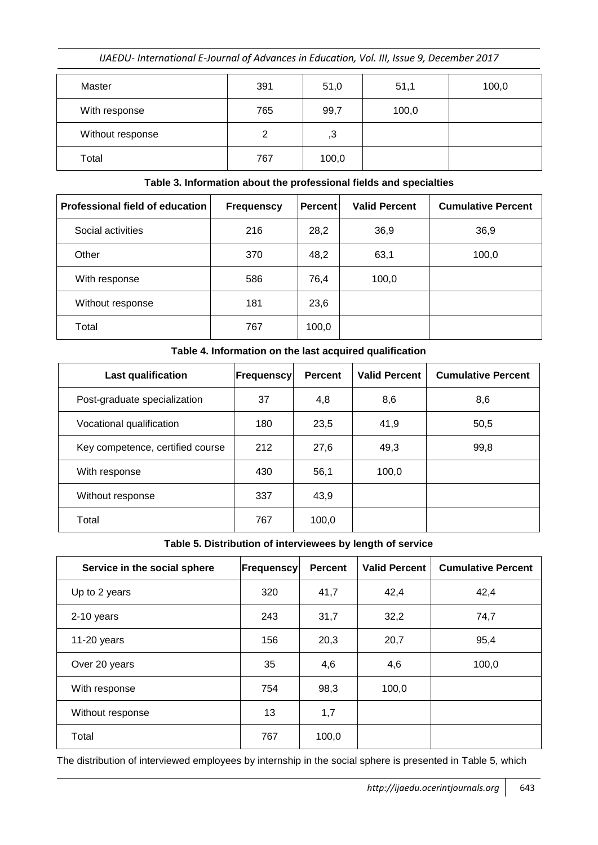| Master           | 391 | 51,0  | 51,1  | 100,0 |
|------------------|-----|-------|-------|-------|
| With response    | 765 | 99,7  | 100,0 |       |
| Without response | 2   | 3,    |       |       |
| Total            | 767 | 100,0 |       |       |

## **Table 3. Information about the professional fields and specialties**

| Professional field of education | <b>Frequenscy</b> | <b>Percent</b> | <b>Valid Percent</b> | <b>Cumulative Percent</b> |
|---------------------------------|-------------------|----------------|----------------------|---------------------------|
| Social activities               | 216               | 28,2           | 36,9                 | 36,9                      |
| Other                           | 370               | 48,2           | 63,1                 | 100,0                     |
| With response                   | 586               | 76,4           | 100,0                |                           |
| Without response                | 181               | 23,6           |                      |                           |
| Total                           | 767               | 100,0          |                      |                           |

### **Table 4. Information on the last acquired qualification**

| <b>Last qualification</b>        | <b>Frequenscy</b> | <b>Percent</b> | <b>Valid Percent</b> | <b>Cumulative Percent</b> |
|----------------------------------|-------------------|----------------|----------------------|---------------------------|
| Post-graduate specialization     | 37                | 4,8            | 8,6                  | 8,6                       |
| Vocational qualification         | 180               | 23,5           | 41,9                 | 50,5                      |
| Key competence, certified course | 212               | 27,6           | 49,3                 | 99,8                      |
| With response                    | 430               | 56,1           | 100,0                |                           |
| Without response                 | 337               | 43,9           |                      |                           |
| Total                            | 767               | 100,0          |                      |                           |

### **Table 5. Distribution of interviewees by length of service**

| Service in the social sphere | <b>Frequenscy</b> | <b>Percent</b> | <b>Valid Percent</b> | <b>Cumulative Percent</b> |
|------------------------------|-------------------|----------------|----------------------|---------------------------|
| Up to 2 years                | 320               | 41,7           | 42,4                 | 42,4                      |
| 2-10 years                   | 243               | 31,7           | 32,2                 | 74,7                      |
| 11-20 years                  | 156               | 20,3           | 20,7                 | 95,4                      |
| Over 20 years                | 35                | 4,6            | 4,6                  | 100,0                     |
| With response                | 754               | 98,3           | 100,0                |                           |
| Without response             | 13                | 1,7            |                      |                           |
| Total                        | 767               | 100,0          |                      |                           |

The distribution of interviewed employees by internship in the social sphere is presented in Table 5, which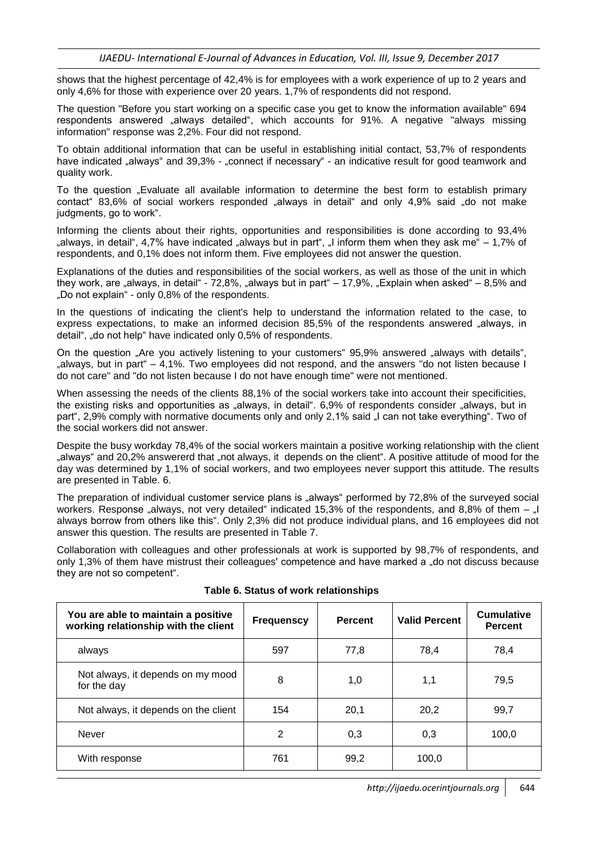shows that the highest percentage of 42,4% is for employees with a work experience of up to 2 years and only 4,6% for those with experience over 20 years. 1,7% of respondents did not respond.

The question "Before you start working on a specific case you get to know the information available" 694 respondents answered "always detailed", which accounts for 91%. A negative "always missing information" response was 2,2%. Four did not respond.

To obtain additional information that can be useful in establishing initial contact, 53,7% of respondents have indicated "always" and 39,3% - "connect if necessary" - an indicative result for good teamwork and quality work.

To the question "Evaluate all available information to determine the best form to establish primary contact 83,6% of social workers responded "always in detail" and only 4,9% said "do not make judgments, go to work".

Informing the clients about their rights, opportunities and responsibilities is done according to 93,4% "always, in detail", 4,7% have indicated "always but in part", "I inform them when they ask me  $-1.7\%$  of respondents, and 0,1% does not inform them. Five employees did not answer the question.

Explanations of the duties and responsibilities of the social workers, as well as those of the unit in which they work, are "always, in detail" -  $72,8\%$ , "always but in part" –  $17,9\%$ , "Explain when asked" –  $8,5\%$  and "Do not explain" - only 0,8% of the respondents.

In the questions of indicating the client's help to understand the information related to the case, to express expectations, to make an informed decision 85,5% of the respondents answered "always, in detail", "do not help" have indicated only 0.5% of respondents.

On the question ..Are you actively listening to your customers "95.9% answered ..always with details", "always, but in part"  $-4.1\%$ . Two employees did not respond, and the answers "do not listen because I do not care" and "do not listen because I do not have enough time" were not mentioned.

When assessing the needs of the clients 88,1% of the social workers take into account their specificities, the existing risks and opportunities as "always, in detail". 6,9% of respondents consider "always, but in part", 2,9% comply with normative documents only and only 2,1% said "I can not take everything". Two of the social workers did not answer.

Despite the busy workday 78,4% of the social workers maintain a positive working relationship with the client "always" and 20,2% answererd that "not always, it depends on the client". A positive attitude of mood for the day was determined by 1,1% of social workers, and two employees never support this attitude. The results are presented in Table. 6.

The preparation of individual customer service plans is "always" performed by 72,8% of the surveyed social workers. Response "always, not very detailed" indicated 15,3% of the respondents, and 8,8% of them  $-$  "I always borrow from others like this". Only 2,3% did not produce individual plans, and 16 employees did not answer this question. The results are presented in Table 7.

Collaboration with colleagues and other professionals at work is supported by 98,7% of respondents, and only 1,3% of them have mistrust their colleagues' competence and have marked a "do not discuss because they are not so competent".

| You are able to maintain a positive<br>working relationship with the client | <b>Frequenscy</b> | <b>Percent</b> | <b>Valid Percent</b> | <b>Cumulative</b><br><b>Percent</b> |
|-----------------------------------------------------------------------------|-------------------|----------------|----------------------|-------------------------------------|
| always                                                                      | 597               | 77,8           | 78,4                 | 78,4                                |
| Not always, it depends on my mood<br>for the day                            | 8                 | 1,0            | 1,1                  | 79,5                                |
| Not always, it depends on the client                                        | 154               | 20,1           | 20,2                 | 99,7                                |
| Never                                                                       | 2                 | 0,3            | 0,3                  | 100,0                               |
| With response                                                               | 761               | 99,2           | 100,0                |                                     |

**Table 6. Status of work relationships**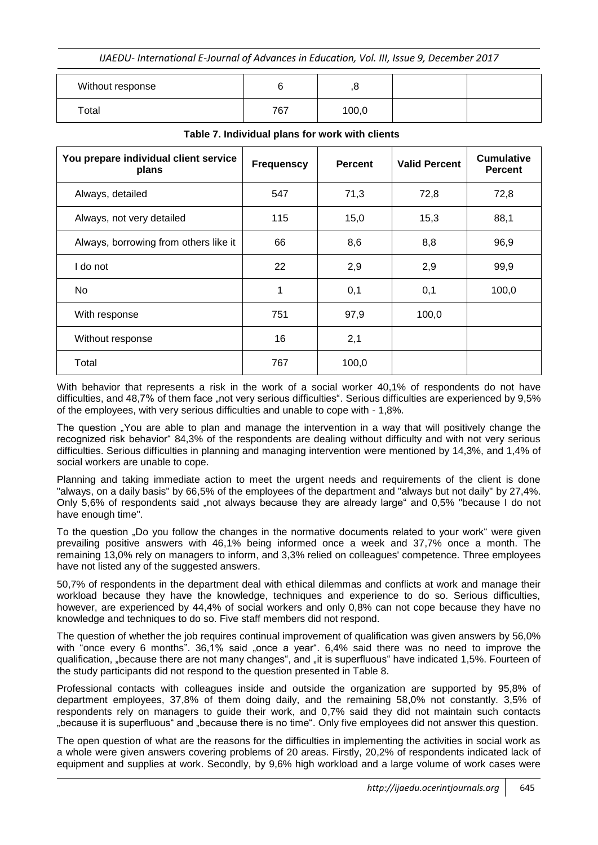| Without response |     |       |  |
|------------------|-----|-------|--|
| Total            | 767 | 100,0 |  |

| You prepare individual client service<br>plans | <b>Frequenscy</b> | <b>Percent</b> | <b>Valid Percent</b> | <b>Cumulative</b><br><b>Percent</b> |
|------------------------------------------------|-------------------|----------------|----------------------|-------------------------------------|
| Always, detailed                               | 547               | 71,3           | 72,8                 | 72,8                                |
| Always, not very detailed                      | 115               | 15,0           | 15,3                 | 88,1                                |
| Always, borrowing from others like it          | 66                | 8,6            | 8,8                  | 96,9                                |
| I do not                                       | 22                | 2,9            | 2,9                  | 99,9                                |
| No                                             | 1                 | 0,1            | 0,1                  | 100,0                               |
| With response                                  | 751               | 97,9           | 100,0                |                                     |
| Without response                               | 16                | 2,1            |                      |                                     |
| Total                                          | 767               | 100,0          |                      |                                     |

#### **Table 7. Individual plans for work with clients**

With behavior that represents a risk in the work of a social worker 40,1% of respondents do not have difficulties, and 48,7% of them face "not very serious difficulties". Serious difficulties are experienced by 9,5% of the employees, with very serious difficulties and unable to cope with - 1,8%.

The question "You are able to plan and manage the intervention in a way that will positively change the recognized risk behavior" 84,3% of the respondents are dealing without difficulty and with not very serious difficulties. Serious difficulties in planning and managing intervention were mentioned by 14,3%, and 1,4% of social workers are unable to cope.

Planning and taking immediate action to meet the urgent needs and requirements of the client is done "always, on a daily basis" by 66,5% of the employees of the department and "always but not daily" by 27,4%. Only 5,6% of respondents said "not always because they are already large" and 0,5% "because I do not have enough time".

To the question "Do you follow the changes in the normative documents related to your work" were given prevailing positive answers with 46,1% being informed once a week and 37,7% once a month. The remaining 13,0% rely on managers to inform, and 3,3% relied on colleagues' competence. Three employees have not listed any of the suggested answers.

50,7% of respondents in the department deal with ethical dilemmas and conflicts at work and manage their workload because they have the knowledge, techniques and experience to do so. Serious difficulties, however, are experienced by 44,4% of social workers and only 0,8% can not cope because they have no knowledge and techniques to do so. Five staff members did not respond.

The question of whether the job requires continual improvement of qualification was given answers by 56,0% with "once every 6 months". 36,1% said "once a year". 6,4% said there was no need to improve the qualification, "because there are not many changes", and "it is superfluous" have indicated 1,5%. Fourteen of the study participants did not respond to the question presented in Table 8.

Professional contacts with colleagues inside and outside the organization are supported by 95,8% of department employees, 37,8% of them doing daily, and the remaining 58,0% not constantly. 3,5% of respondents rely on managers to guide their work, and 0,7% said they did not maintain such contacts "because it is superfluous" and "because there is no time". Only five employees did not answer this question.

The open question of what are the reasons for the difficulties in implementing the activities in social work as a whole were given answers covering problems of 20 areas. Firstly, 20,2% of respondents indicated lack of equipment and supplies at work. Secondly, by 9,6% high workload and a large volume of work cases were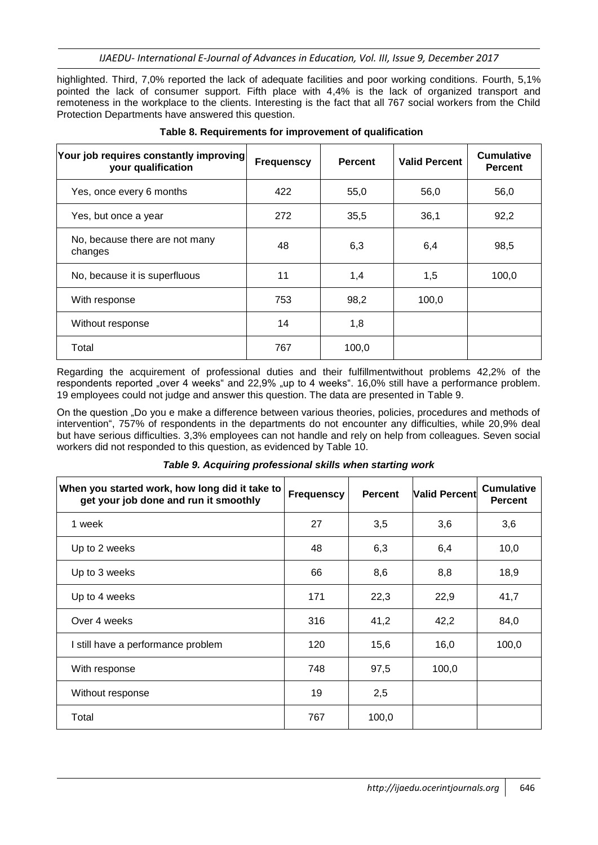highlighted. Third, 7,0% reported the lack of adequate facilities and poor working conditions. Fourth, 5,1% pointed the lack of consumer support. Fifth place with 4,4% is the lack of organized transport and remoteness in the workplace to the clients. Interesting is the fact that all 767 social workers from the Child Protection Departments have answered this question.

| Your job requires constantly improving<br>your qualification | <b>Frequenscy</b> | <b>Percent</b> | <b>Valid Percent</b> | <b>Cumulative</b><br><b>Percent</b> |
|--------------------------------------------------------------|-------------------|----------------|----------------------|-------------------------------------|
| Yes, once every 6 months                                     | 422               | 55,0           | 56,0                 | 56,0                                |
| Yes, but once a year                                         | 272               | 35,5           | 36,1                 | 92,2                                |
| No, because there are not many<br>changes                    | 48                | 6,3            | 6,4                  | 98,5                                |
| No, because it is superfluous                                | 11                | 1,4            | 1,5                  | 100,0                               |
| With response                                                | 753               | 98,2           | 100,0                |                                     |
| Without response                                             | 14                | 1,8            |                      |                                     |
| Total                                                        | 767               | 100,0          |                      |                                     |

### **Table 8. Requirements for improvement of qualification**

Regarding the acquirement of professional duties and their fulfillmentwithout problems 42,2% of the respondents reported "over 4 weeks" and 22,9% "up to 4 weeks". 16,0% still have a performance problem. 19 employees could not judge and answer this question. The data are presented in Table 9.

On the question "Do you e make a difference between various theories, policies, procedures and methods of intervention", 757% of respondents in the departments do not encounter any difficulties, while 20,9% deal but have serious difficulties. 3,3% employees can not handle and rely on help from colleagues. Seven social workers did not responded to this question, as evidenced by Table 10.

|  | Table 9. Acquiring professional skills when starting work |  |  |
|--|-----------------------------------------------------------|--|--|
|  |                                                           |  |  |

| When you started work, how long did it take to<br>get your job done and run it smoothly | <b>Frequenscy</b> | <b>Percent</b> | <b>Valid Percent</b> | <b>Cumulative</b><br><b>Percent</b> |
|-----------------------------------------------------------------------------------------|-------------------|----------------|----------------------|-------------------------------------|
| 1 week                                                                                  | 27                | 3,5            | 3,6                  | 3,6                                 |
| Up to 2 weeks                                                                           | 48                | 6,3            | 6,4                  | 10,0                                |
| Up to 3 weeks                                                                           | 66                | 8,6            | 8,8                  | 18,9                                |
| Up to 4 weeks                                                                           | 171               | 22,3           | 22,9                 | 41,7                                |
| Over 4 weeks                                                                            | 316               | 41,2           | 42,2                 | 84,0                                |
| I still have a performance problem                                                      | 120               | 15,6           | 16,0                 | 100,0                               |
| With response                                                                           | 748               | 97,5           | 100,0                |                                     |
| Without response                                                                        | 19                | 2,5            |                      |                                     |
| Total                                                                                   | 767               | 100,0          |                      |                                     |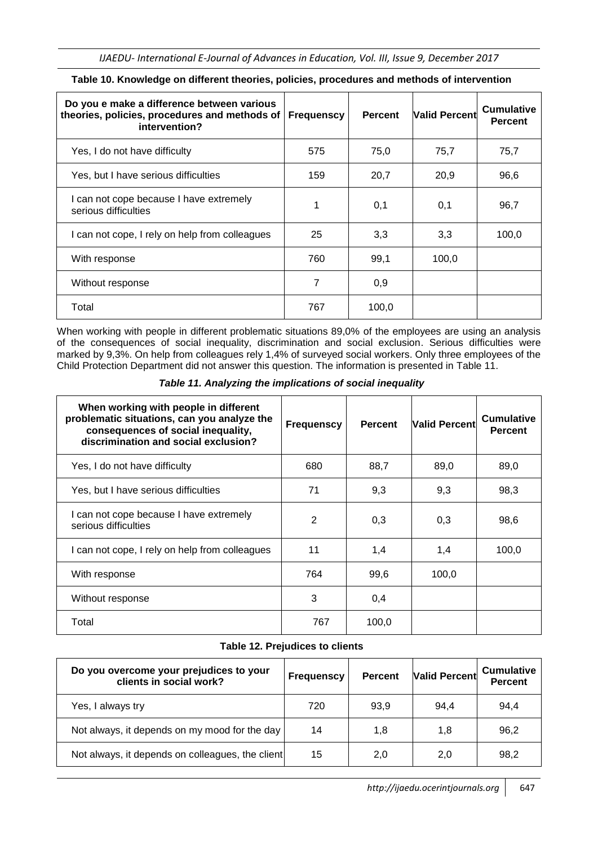| Do you e make a difference between various<br>theories, policies, procedures and methods of<br>intervention? | <b>Frequenscy</b> | <b>Percent</b> | <b>Valid Percent</b> | <b>Cumulative</b><br><b>Percent</b> |
|--------------------------------------------------------------------------------------------------------------|-------------------|----------------|----------------------|-------------------------------------|
| Yes, I do not have difficulty                                                                                | 575               | 75,0           | 75,7                 | 75,7                                |
| Yes, but I have serious difficulties                                                                         | 159               | 20,7           | 20,9                 | 96,6                                |
| I can not cope because I have extremely<br>serious difficulties                                              | 1                 | 0,1            | 0,1                  | 96,7                                |
| I can not cope, I rely on help from colleagues                                                               | 25                | 3,3            | 3,3                  | 100,0                               |
| With response                                                                                                | 760               | 99,1           | 100,0                |                                     |
| Without response                                                                                             | 7                 | 0,9            |                      |                                     |
| Total                                                                                                        | 767               | 100,0          |                      |                                     |

#### **Table 10. Knowledge on different theories, policies, procedures and methods of intervention**

When working with people in different problematic situations 89,0% of the employees are using an analysis of the consequences of social inequality, discrimination and social exclusion. Serious difficulties were marked by 9,3%. On help from colleagues rely 1,4% of surveyed social workers. Only three employees of the Child Protection Department did not answer this question. The information is presented in Table 11.

| When working with people in different<br>problematic situations, can you analyze the<br>consequences of social inequality,<br>discrimination and social exclusion? | <b>Frequenscy</b> | <b>Percent</b> | <b>Valid Percent</b> | <b>Cumulative</b><br><b>Percent</b> |
|--------------------------------------------------------------------------------------------------------------------------------------------------------------------|-------------------|----------------|----------------------|-------------------------------------|
| Yes, I do not have difficulty                                                                                                                                      | 680               | 88,7           | 89,0                 | 89,0                                |
| Yes, but I have serious difficulties                                                                                                                               | 71                | 9,3            | 9,3                  | 98,3                                |
| I can not cope because I have extremely<br>serious difficulties                                                                                                    | 2                 | 0,3            | 0,3                  | 98,6                                |
| I can not cope, I rely on help from colleagues                                                                                                                     | 11                | 1,4            | 1,4                  | 100,0                               |
| With response                                                                                                                                                      | 764               | 99,6           | 100,0                |                                     |
| Without response                                                                                                                                                   | 3                 | 0,4            |                      |                                     |
| Total                                                                                                                                                              | 767               | 100,0          |                      |                                     |

*Table 11. Analyzing the implications of social inequality*

#### **Table 12. Prejudices to clients**

| Do you overcome your prejudices to your<br>clients in social work? | <b>Frequenscy</b> | <b>Percent</b> | <b>Valid Percent</b> | <b>Cumulative</b><br><b>Percent</b> |
|--------------------------------------------------------------------|-------------------|----------------|----------------------|-------------------------------------|
| Yes, I always try                                                  | 720               | 93,9           | 94.4                 | 94,4                                |
| Not always, it depends on my mood for the day                      | 14                | 1,8            | 1,8                  | 96,2                                |
| Not always, it depends on colleagues, the client                   | 15                | 2,0            | 2,0                  | 98,2                                |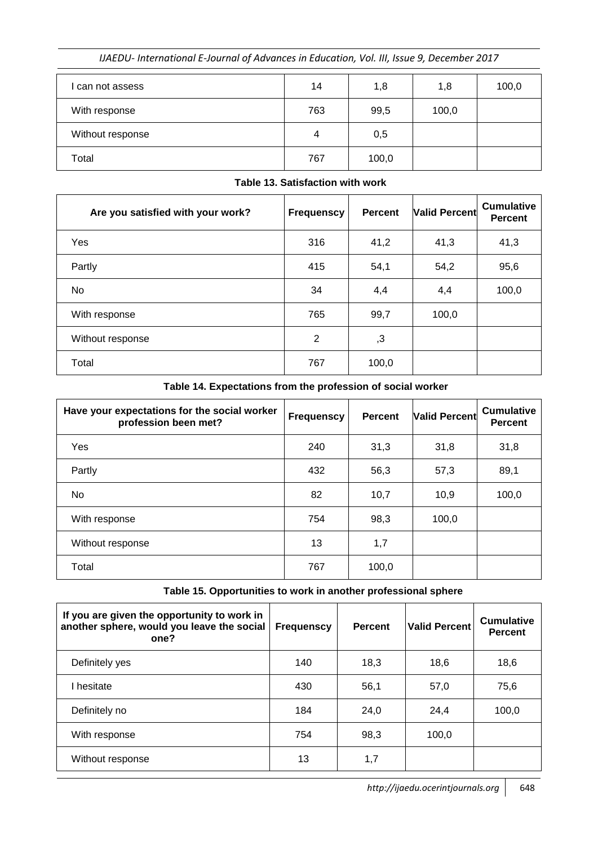| can not assess   | 14  | 1,8   | 1,8   | 100,0 |
|------------------|-----|-------|-------|-------|
| With response    | 763 | 99,5  | 100,0 |       |
| Without response | 4   | 0,5   |       |       |
| Total            | 767 | 100,0 |       |       |

| Table 13. Satisfaction with work |
|----------------------------------|
|                                  |

| Are you satisfied with your work? | <b>Frequenscy</b> | <b>Percent</b> | <b>Valid Percent</b> | <b>Cumulative</b><br><b>Percent</b> |
|-----------------------------------|-------------------|----------------|----------------------|-------------------------------------|
| Yes                               | 316               | 41,2           | 41,3                 | 41,3                                |
| Partly                            | 415               | 54,1           | 54,2                 | 95,6                                |
| No                                | 34                | 4,4            | 4,4                  | 100,0                               |
| With response                     | 765               | 99,7           | 100,0                |                                     |
| Without response                  | $\overline{2}$    | ,3             |                      |                                     |
| Total                             | 767               | 100,0          |                      |                                     |

**Table 14. Expectations from the profession of social worker**

| Have your expectations for the social worker<br>profession been met? | <b>Frequenscy</b> | <b>Percent</b> | <b>Valid Percent</b> | <b>Cumulative</b><br><b>Percent</b> |
|----------------------------------------------------------------------|-------------------|----------------|----------------------|-------------------------------------|
| Yes                                                                  | 240               | 31,3           | 31,8                 | 31,8                                |
| Partly                                                               | 432               | 56,3           | 57,3                 | 89,1                                |
| No                                                                   | 82                | 10,7           | 10,9                 | 100,0                               |
| With response                                                        | 754               | 98,3           | 100,0                |                                     |
| Without response                                                     | 13                | 1,7            |                      |                                     |
| Total                                                                | 767               | 100,0          |                      |                                     |

**Table 15. Opportunities to work in another professional sphere**

| If you are given the opportunity to work in<br>another sphere, would you leave the social<br>one? | <b>Frequenscy</b> | <b>Percent</b> | Valid Percent | <b>Cumulative</b><br><b>Percent</b> |
|---------------------------------------------------------------------------------------------------|-------------------|----------------|---------------|-------------------------------------|
| Definitely yes                                                                                    | 140               | 18,3           | 18,6          | 18,6                                |
| I hesitate                                                                                        | 430               | 56,1           | 57,0          | 75,6                                |
| Definitely no                                                                                     | 184               | 24,0           | 24.4          | 100,0                               |
| With response                                                                                     | 754               | 98,3           | 100,0         |                                     |
| Without response                                                                                  | 13                | 1,7            |               |                                     |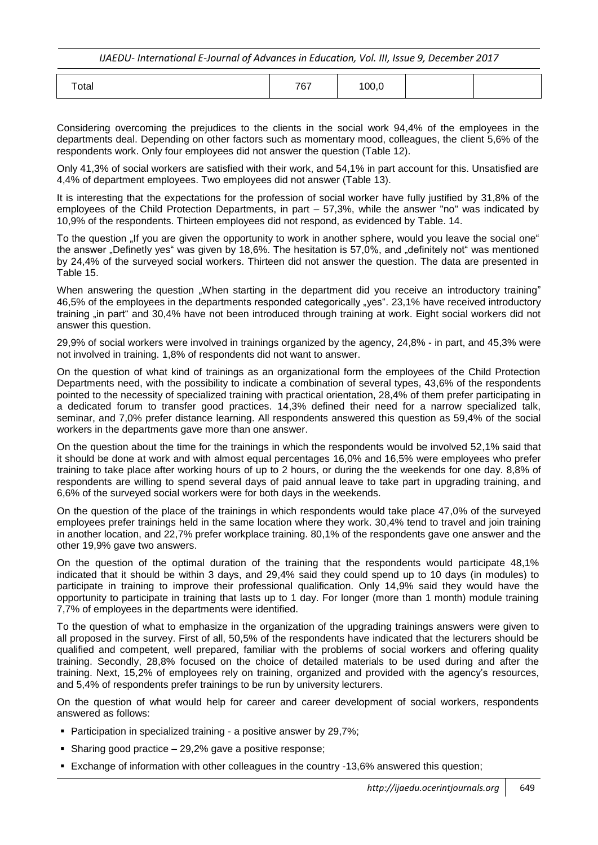| Total | 7C7<br>101 | 100, c |  |  |
|-------|------------|--------|--|--|
|-------|------------|--------|--|--|

Considering overcoming the prejudices to the clients in the social work 94,4% of the employees in the departments deal. Depending on other factors such as momentary mood, colleagues, the client 5,6% of the respondents work. Only four employees did not answer the question (Table 12).

Only 41,3% of social workers are satisfied with their work, and 54,1% in part account for this. Unsatisfied are 4,4% of department employees. Two employees did not answer (Table 13).

It is interesting that the expectations for the profession of social worker have fully justified by 31,8% of the employees of the Child Protection Departments, in part – 57,3%, while the answer "no" was indicated by 10,9% of the respondents. Thirteen employees did not respond, as evidenced by Table. 14.

To the question "If you are given the opportunity to work in another sphere, would you leave the social one" the answer "Definetly yes" was given by 18,6%. The hesitation is 57,0%, and "definitely not" was mentioned by 24,4% of the surveyed social workers. Thirteen did not answer the question. The data are presented in Table 15.

When answering the question "When starting in the department did you receive an introductory training" 46,5% of the employees in the departments responded categorically "yes". 23,1% have received introductory training "in part" and 30,4% have not been introduced through training at work. Eight social workers did not answer this question.

29,9% of social workers were involved in trainings organized by the agency, 24,8% - in part, and 45,3% were not involved in training. 1,8% of respondents did not want to answer.

On the question of what kind of trainings as an organizational form the employees of the Child Protection Departments need, with the possibility to indicate a combination of several types, 43,6% of the respondents pointed to the necessity of specialized training with practical orientation, 28,4% of them prefer participating in a dedicated forum to transfer good practices. 14,3% defined their need for a narrow specialized talk, seminar, and 7,0% prefer distance learning. All respondents answered this question as 59,4% of the social workers in the departments gave more than one answer.

On the question about the time for the trainings in which the respondents would be involved 52,1% said that it should be done at work and with almost equal percentages 16,0% and 16,5% were employees who prefer training to take place after working hours of up to 2 hours, or during the the weekends for one day. 8,8% of respondents are willing to spend several days of paid annual leave to take part in upgrading training, and 6,6% of the surveyed social workers were for both days in the weekends.

On the question of the place of the trainings in which respondents would take place 47,0% of the surveyed employees prefer trainings held in the same location where they work. 30,4% tend to travel and join training in another location, and 22,7% prefer workplace training. 80,1% of the respondents gave one answer and the other 19,9% gave two answers.

On the question of the optimal duration of the training that the respondents would participate 48,1% indicated that it should be within 3 days, and 29,4% said they could spend up to 10 days (in modules) to participate in training to improve their professional qualification. Only 14,9% said they would have the opportunity to participate in training that lasts up to 1 day. For longer (more than 1 month) module training 7,7% of employees in the departments were identified.

To the question of what to emphasize in the organization of the upgrading trainings answers were given to all proposed in the survey. First of all, 50,5% of the respondents have indicated that the lecturers should be qualified and competent, well prepared, familiar with the problems of social workers and offering quality training. Secondly, 28,8% focused on the choice of detailed materials to be used during and after the training. Next, 15,2% of employees rely on training, organized and provided with the agency"s resources, and 5,4% of respondents prefer trainings to be run by university lecturers.

On the question of what would help for career and career development of social workers, respondents answered as follows:

- **Participation in specialized training a positive answer by 29.7%:**
- Sharing good practice  $-29,2\%$  gave a positive response;
- Exchange of information with other colleagues in the country -13,6% answered this question;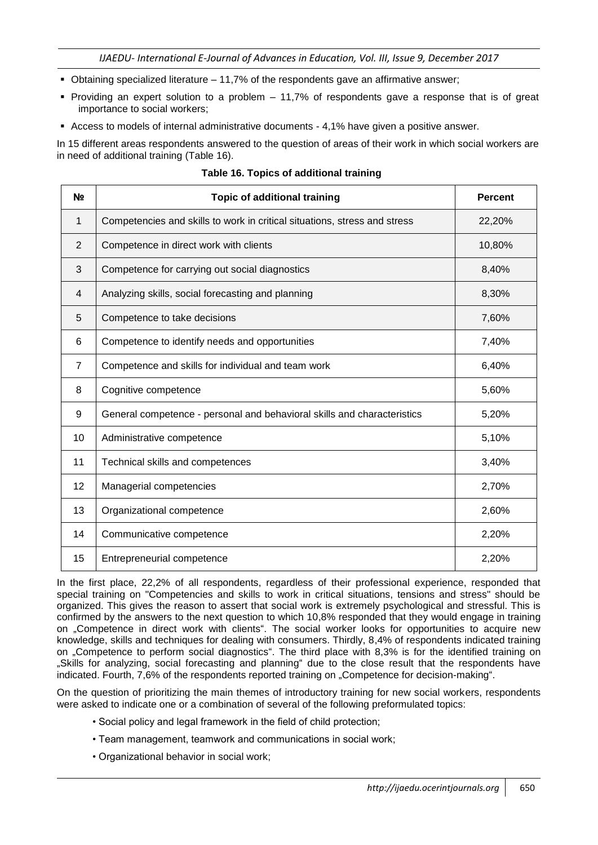- Obtaining specialized literature 11,7% of the respondents gave an affirmative answer;
- Providing an expert solution to a problem 11,7% of respondents gave a response that is of great importance to social workers;
- Access to models of internal administrative documents 4,1% have given a positive answer.

In 15 different areas respondents answered to the question of areas of their work in which social workers are in need of additional training (Table 16).

| N <sub>2</sub> | <b>Topic of additional training</b>                                       | <b>Percent</b> |
|----------------|---------------------------------------------------------------------------|----------------|
| 1              | Competencies and skills to work in critical situations, stress and stress | 22,20%         |
| 2              | Competence in direct work with clients                                    | 10,80%         |
| 3              | Competence for carrying out social diagnostics                            | 8,40%          |
| 4              | Analyzing skills, social forecasting and planning                         | 8,30%          |
| 5              | Competence to take decisions                                              | 7,60%          |
| 6              | Competence to identify needs and opportunities                            | 7,40%          |
| $\overline{7}$ | Competence and skills for individual and team work                        | 6,40%          |
| 8              | Cognitive competence                                                      | 5,60%          |
| 9              | General competence - personal and behavioral skills and characteristics   | 5,20%          |
| 10             | Administrative competence                                                 | 5,10%          |
| 11             | Technical skills and competences                                          | 3,40%          |
| 12             | Managerial competencies                                                   | 2,70%          |
| 13             | Organizational competence                                                 | 2,60%          |
| 14             | Communicative competence                                                  | 2,20%          |
| 15             | Entrepreneurial competence                                                | 2,20%          |

### **Table 16. Topics of additional training**

In the first place, 22,2% of all respondents, regardless of their professional experience, responded that special training on "Competencies and skills to work in critical situations, tensions and stress" should be organized. This gives the reason to assert that social work is extremely psychological and stressful. This is confirmed by the answers to the next question to which 10,8% responded that they would engage in training on "Competence in direct work with clients". The social worker looks for opportunities to acquire new knowledge, skills and techniques for dealing with consumers. Thirdly, 8,4% of respondents indicated training on "Competence to perform social diagnostics". The third place with 8,3% is for the identified training on "Skills for analyzing, social forecasting and planning" due to the close result that the respondents have indicated. Fourth, 7,6% of the respondents reported training on "Competence for decision-making".

On the question of prioritizing the main themes of introductory training for new social workers, respondents were asked to indicate one or a combination of several of the following preformulated topics:

- Social policy and legal framework in the field of child protection;
- Team management, teamwork and communications in social work;
- Organizational behavior in social work;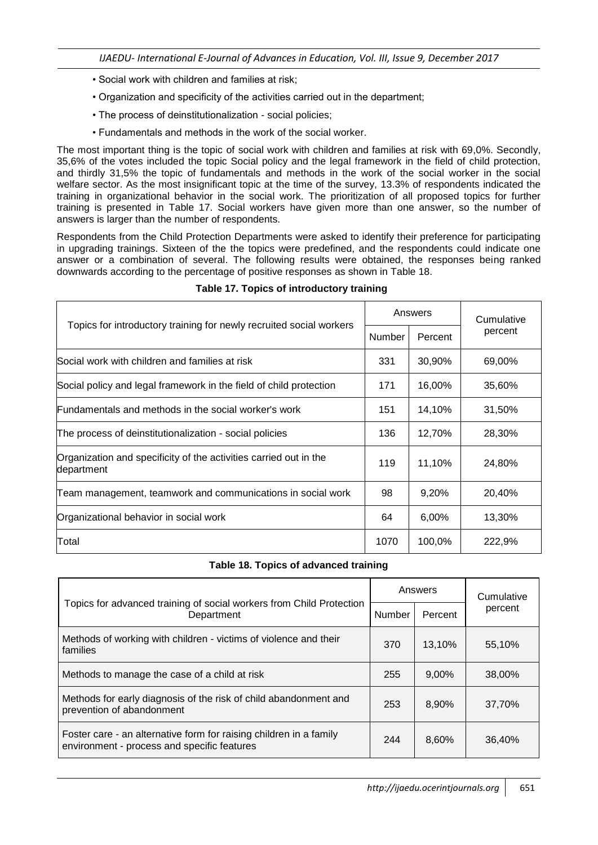- Social work with children and families at risk;
- Organization and specificity of the activities carried out in the department;
- The process of deinstitutionalization social policies;
- Fundamentals and methods in the work of the social worker.

The most important thing is the topic of social work with children and families at risk with 69,0%. Secondly, 35,6% of the votes included the topic Social policy and the legal framework in the field of child protection, and thirdly 31,5% the topic of fundamentals and methods in the work of the social worker in the social welfare sector. As the most insignificant topic at the time of the survey, 13.3% of respondents indicated the training in organizational behavior in the social work. The prioritization of all proposed topics for further training is presented in Table 17. Social workers have given more than one answer, so the number of answers is larger than the number of respondents.

Respondents from the Child Protection Departments were asked to identify their preference for participating in upgrading trainings. Sixteen of the the topics were predefined, and the respondents could indicate one answer or a combination of several. The following results were obtained, the responses being ranked downwards according to the percentage of positive responses as shown in Table 18.

| Topics for introductory training for newly recruited social workers<br>Number   |      | Answers | Cumulative<br>percent |  |
|---------------------------------------------------------------------------------|------|---------|-----------------------|--|
|                                                                                 |      | Percent |                       |  |
| Social work with children and families at risk                                  | 331  | 30,90%  | 69,00%                |  |
| Social policy and legal framework in the field of child protection              | 171  | 16,00%  | 35,60%                |  |
| Fundamentals and methods in the social worker's work                            | 151  | 14,10%  | 31,50%                |  |
| The process of deinstitutionalization - social policies                         | 136  | 12,70%  | 28,30%                |  |
| Organization and specificity of the activities carried out in the<br>department | 119  | 11,10%  | 24,80%                |  |
| Team management, teamwork and communications in social work                     | 98   | 9,20%   | 20,40%                |  |
| Organizational behavior in social work                                          | 64   | 6,00%   | 13,30%                |  |
| Total                                                                           | 1070 | 100,0%  | 222,9%                |  |

### **Table 17. Topics of introductory training**

#### **Table 18. Topics of advanced training**

| Topics for advanced training of social workers from Child Protection<br><b>Number</b><br>Department               |     | Answers | Cumulative |  |
|-------------------------------------------------------------------------------------------------------------------|-----|---------|------------|--|
|                                                                                                                   |     | Percent | percent    |  |
| Methods of working with children - victims of violence and their<br>families                                      | 370 | 13,10%  | 55,10%     |  |
| Methods to manage the case of a child at risk                                                                     | 255 | 9,00%   | 38,00%     |  |
| Methods for early diagnosis of the risk of child abandonment and<br>prevention of abandonment                     | 253 | 8,90%   | 37,70%     |  |
| Foster care - an alternative form for raising children in a family<br>environment - process and specific features | 244 | 8,60%   | 36,40%     |  |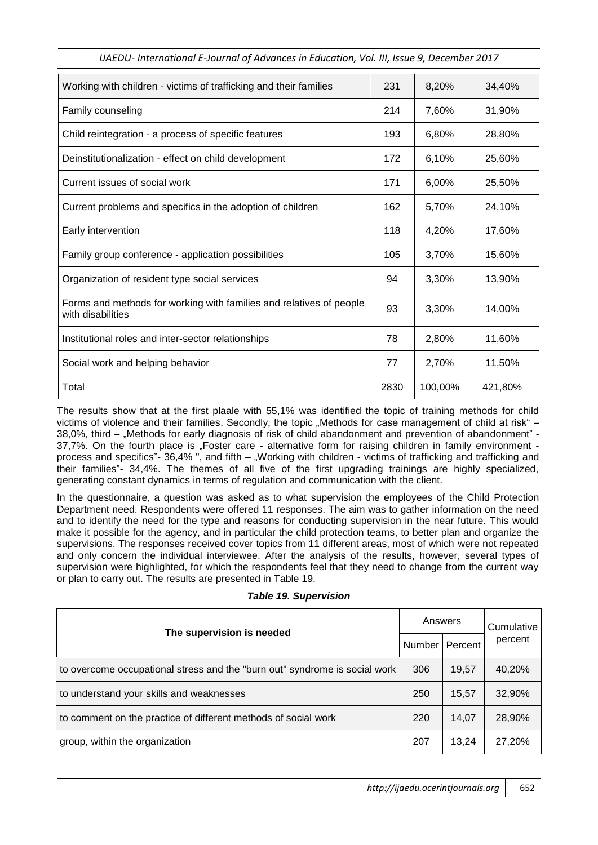| Working with children - victims of trafficking and their families                        | 231  | 8,20%   | 34,40%  |
|------------------------------------------------------------------------------------------|------|---------|---------|
| Family counseling                                                                        | 214  | 7,60%   | 31,90%  |
| Child reintegration - a process of specific features                                     | 193  | 6,80%   | 28,80%  |
| Deinstitutionalization - effect on child development                                     | 172  | 6,10%   | 25,60%  |
| Current issues of social work                                                            | 171  | 6,00%   | 25,50%  |
| Current problems and specifics in the adoption of children                               | 162  | 5,70%   | 24,10%  |
| Early intervention                                                                       | 118  | 4,20%   | 17,60%  |
| Family group conference - application possibilities                                      | 105  | 3,70%   | 15,60%  |
| Organization of resident type social services                                            | 94   | 3,30%   | 13,90%  |
| Forms and methods for working with families and relatives of people<br>with disabilities | 93   | 3,30%   | 14,00%  |
| Institutional roles and inter-sector relationships                                       | 78   | 2,80%   | 11,60%  |
| Social work and helping behavior                                                         | 77   | 2,70%   | 11,50%  |
| Total                                                                                    | 2830 | 100,00% | 421,80% |

The results show that at the first plaale with 55,1% was identified the topic of training methods for child victims of violence and their families. Secondly, the topic "Methods for case management of child at risk" – 38,0%, third – "Methods for early diagnosis of risk of child abandonment and prevention of abandonment" -37,7%. On the fourth place is "Foster care - alternative form for raising children in family environment process and specifics"- 36,4% ", and fifth – "Working with children - victims of trafficking and trafficking and their families"- 34,4%. The themes of all five of the first upgrading trainings are highly specialized, generating constant dynamics in terms of regulation and communication with the client.

In the questionnaire, a question was asked as to what supervision the employees of the Child Protection Department need. Respondents were offered 11 responses. The aim was to gather information on the need and to identify the need for the type and reasons for conducting supervision in the near future. This would make it possible for the agency, and in particular the child protection teams, to better plan and organize the supervisions. The responses received cover topics from 11 different areas, most of which were not repeated and only concern the individual interviewee. After the analysis of the results, however, several types of supervision were highlighted, for which the respondents feel that they need to change from the current way or plan to carry out. The results are presented in Table 19.

| The supervision is needed                                                  |     | Answers |         |
|----------------------------------------------------------------------------|-----|---------|---------|
|                                                                            |     | Percent | percent |
| to overcome occupational stress and the "burn out" syndrome is social work | 306 | 19,57   | 40,20%  |
| to understand your skills and weaknesses                                   | 250 | 15,57   | 32,90%  |
| to comment on the practice of different methods of social work             |     | 14,07   | 28,90%  |
| group, within the organization                                             | 207 | 13,24   | 27,20%  |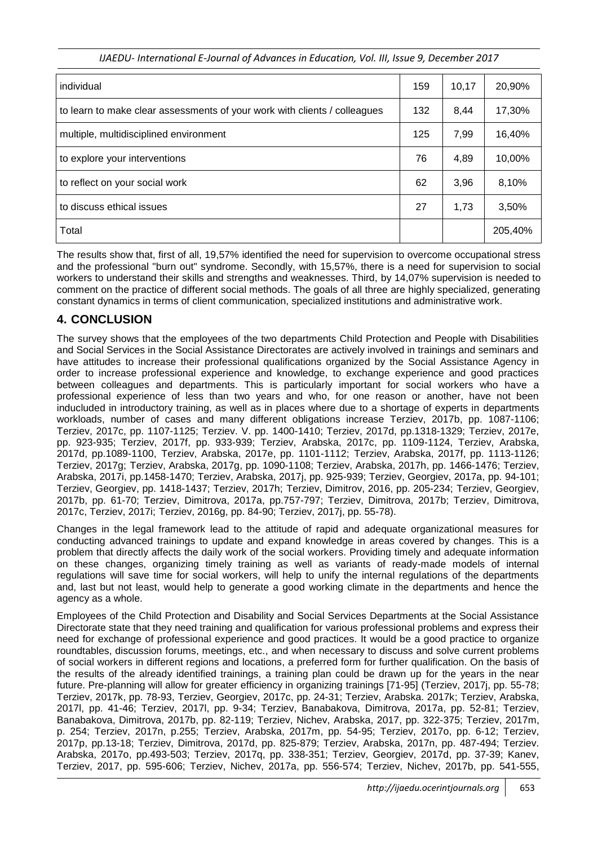| individual                                                                | 159 | 10,17 | 20,90%  |
|---------------------------------------------------------------------------|-----|-------|---------|
| to learn to make clear assessments of your work with clients / colleagues | 132 | 8,44  | 17,30%  |
| multiple, multidisciplined environment                                    | 125 | 7,99  | 16,40%  |
| to explore your interventions                                             | 76  | 4,89  | 10,00%  |
| to reflect on your social work                                            | 62  | 3,96  | 8,10%   |
| to discuss ethical issues                                                 | 27  | 1,73  | 3,50%   |
| Total                                                                     |     |       | 205,40% |

The results show that, first of all, 19,57% identified the need for supervision to overcome occupational stress and the professional "burn out" syndrome. Secondly, with 15,57%, there is a need for supervision to social workers to understand their skills and strengths and weaknesses. Third, by 14,07% supervision is needed to comment on the practice of different social methods. The goals of all three are highly specialized, generating constant dynamics in terms of client communication, specialized institutions and administrative work.

# **4. CONCLUSION**

The survey shows that the employees of the two departments Child Protection and People with Disabilities and Social Services in the Social Assistance Directorates are actively involved in trainings and seminars and have attitudes to increase their professional qualifications organized by the Social Assistance Agency in order to increase professional experience and knowledge, to exchange experience and good practices between colleagues and departments. This is particularly important for social workers who have a professional experience of less than two years and who, for one reason or another, have not been inducluded in introductory training, as well as in places where due to a shortage of experts in departments workloads, number of cases and many different obligations increase Terziev, 2017b, pp. 1087-1106; Terziev, 2017c, pp. 1107-1125; Terziev. V. pp. 1400-1410; Terziev, 2017d, pp.1318-1329; Terziev, 2017e, pp. 923-935; Terziev, 2017f, pp. 933-939; Terziev, Arabska, 2017c, pp. 1109-1124, Terziev, Arabska, 2017d, pp.1089-1100, Terziev, Arabska, 2017e, pp. 1101-1112; Terziev, Arabska, 2017f, pp. 1113-1126; Terziev, 2017g; Terziev, Arabska, 2017g, pp. 1090-1108; Terziev, Arabska, 2017h, pp. 1466-1476; Terziev, Arabska, 2017i, pp.1458-1470; Terziev, Arabska, 2017j, pp. 925-939; Terziev, Georgiev, 2017a, pp. 94-101; Terziev, Georgiev, pp. 1418-1437; Terziev, 2017h; Terziev, Dimitrov, 2016, pp. 205-234; Terziev, Georgiev, 2017b, pp. 61-70; Terziev, Dimitrova, 2017a, pp.757-797; Terziev, Dimitrova, 2017b; Terziev, Dimitrova, 2017c, Terziev, 2017i; Terziev, 2016g, pp. 84-90; Terziev, 2017j, pp. 55-78).

Changes in the legal framework lead to the attitude of rapid and adequate organizational measures for conducting advanced trainings to update and expand knowledge in areas covered by changes. This is a problem that directly affects the daily work of the social workers. Providing timely and adequate information on these changes, organizing timely training as well as variants of ready-made models of internal regulations will save time for social workers, will help to unify the internal regulations of the departments and, last but not least, would help to generate a good working climate in the departments and hence the agency as a whole.

Employees of the Child Protection and Disability and Social Services Departments at the Social Assistance Directorate state that they need training and qualification for various professional problems and express their need for exchange of professional experience and good practices. It would be a good practice to organize roundtables, discussion forums, meetings, etc., and when necessary to discuss and solve current problems of social workers in different regions and locations, a preferred form for further qualification. On the basis of the results of the already identified trainings, a training plan could be drawn up for the years in the near future. Pre-planning will allow for greater efficiency in organizing trainings [71-95] (Terziev, 2017j, pp. 55-78; Terziev, 2017k, pp. 78-93, Terziev, Georgiev, 2017c, pp. 24-31; Terziev, Arabska. 2017k; Terziev, Arabska, 2017l, pp. 41-46; Terziev, 2017l, pp. 9-34; Terziev, Banabakova, Dimitrova, 2017a, pp. 52-81; Terziev, Banabakova, Dimitrova, 2017b, pp. 82-119; Terziev, Nichev, Arabska, 2017, pp. 322-375; Terziev, 2017m, p. 254; Terziev, 2017n, p.255; Terziev, Arabska, 2017m, pp. 54-95; Terziev, 2017o, pp. 6-12; Terziev, 2017p, pp.13-18; Terziev, Dimitrova, 2017d, pp. 825-879; Terziev, Arabska, 2017n, pp. 487-494; Terziev. Arabska, 2017o, pp.493-503; Terziev, 2017q, pp. 338-351; Terziev, Georgiev, 2017d, pp. 37-39; Kanev, Terziev, 2017, pp. 595-606; Terziev, Nichev, 2017a, pp. 556-574; Terziev, Nichev, 2017b, pp. 541-555,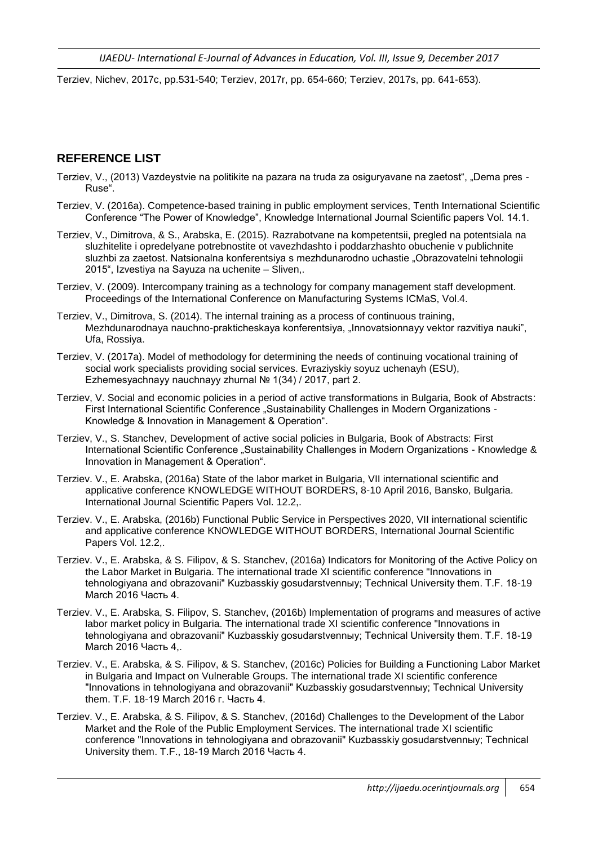Terziev, Nichev, 2017c, pp.531-540; Terziev, 2017r, pp. 654-660; Terziev, 2017s, pp. 641-653).

# **REFERENCE LIST**

- Terziev, V., (2013) Vazdeystvie na politikite na pazara na truda za osiguryavane na zaetost", "Dema pres Ruse".
- Terziev, V. (2016a). Competence-based training in public employment services, Tenth International Scientific Conference "The Power of Knowledge", Knowledge International Journal Scientific papers Vol. 14.1.
- Terziev, V., Dimitrova, & S., Arabska, E. (2015). Razrabotvane na kompetentsii, pregled na potentsiala na sluzhitelite i opredelyane potrebnostite ot vavezhdashto i poddarzhashto obuchenie v publichnite sluzhbi za zaetost. Natsionalna konferentsiya s mezhdunarodno uchastie "Obrazovatelni tehnologii 2015", Izvestiya na Sayuza na uchenite – Sliven,.
- Terziev, V. (2009). Intercompany training as a technology for company management staff development. Proceedings of the International Conference on Manufacturing Systems ICMaS, Vol.4.
- Terziev, V., Dimitrova, S. (2014). The internal training as a process of continuous training, Mezhdunarodnaya nauchno-prakticheskaya konferentsiya, "Innovatsionnayy vektor razvitiya nauki", Ufa, Rossiya.
- Terziev, V. (2017a). Model of methodology for determining the needs of continuing vocational training of social work specialists providing social services. Evraziyskiy soyuz uchenayh (ESU), Ezhemesyachnayy nauchnayy zhurnal № 1(34) / 2017, part 2.
- Terziev, V. Social and economic policies in a period of active transformations in Bulgaria, Book of Abstracts: First International Scientific Conference "Sustainability Challenges in Modern Organizations -Knowledge & Innovation in Management & Operation".
- Terziev, V., S. Stanchev, Development of active social policies in Bulgaria, Book of Abstracts: First International Scientific Conference "Sustainability Challenges in Modern Organizations - Knowledge & Innovation in Management & Operation".
- Terziev. V., E. Arabska, (2016a) State of the labor market in Bulgaria, VII international scientific and applicative conference KNOWLEDGE WITHOUT BORDERS, 8-10 April 2016, Bansko, Bulgaria. International Journal Scientific Papers Vol. 12.2,.
- Terziev. V., E. Arabska, (2016b) Functional Public Service in Perspectives 2020, VII international scientific and applicative conference KNOWLEDGE WITHOUT BORDERS, International Journal Scientific Papers Vol. 12.2,.
- Terziev. V., E. Arabska, & S. Filipov, & S. Stanchev, (2016a) Indicators for Monitoring of the Active Policy on the Labor Market in Bulgaria. The international trade XI scientific conference "Innovations in tehnologiyana and obrazovanii" Kuzbasskiy gosudarstvennыy; Technical University them. T.F. 18-19 March 2016 Часть 4.
- Terziev. V., E. Arabska, S. Filipov, S. Stanchev, (2016b) Implementation of programs and measures of active labor market policy in Bulgaria. The international trade XI scientific conference "Innovations in tehnologiyana and obrazovanii" Kuzbasskiy gosudarstvennыy; Technical University them. T.F. 18-19 March 2016 Часть 4,.
- Terziev. V., E. Arabska, & S. Filipov, & S. Stanchev, (2016c) Policies for Building a Functioning Labor Market in Bulgaria and Impact on Vulnerable Groups. The international trade XI scientific conference "Innovations in tehnologiyana and obrazovanii" Kuzbasskiy gosudarstvennыy; Technical University them. T.F. 18-19 March 2016 г. Часть 4.
- Terziev. V., E. Arabska, & S. Filipov, & S. Stanchev, (2016d) Challenges to the Development of the Labor Market and the Role of the Public Employment Services. The international trade XI scientific conference "Innovations in tehnologiyana and obrazovanii" Kuzbasskiy gosudarstvennыy; Technical University them. T.F., 18-19 March 2016 Часть 4.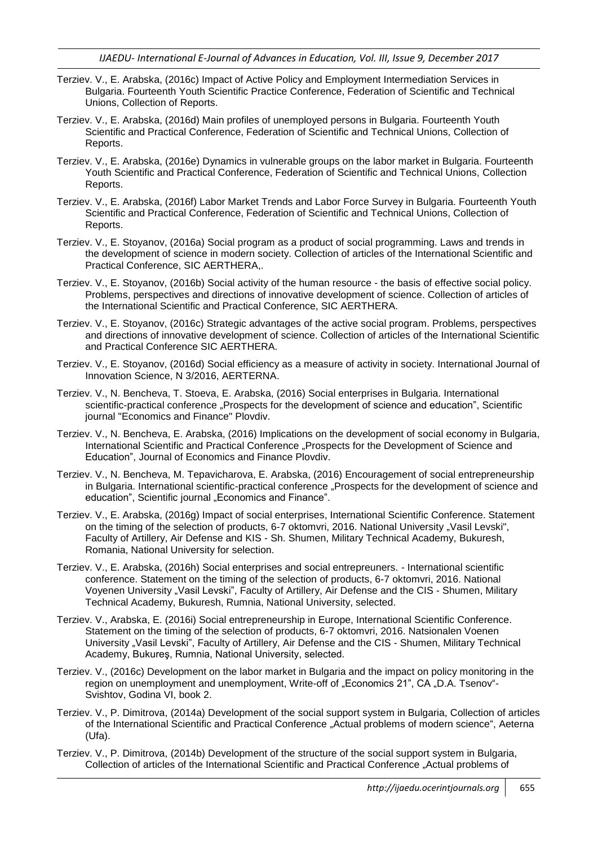- Terziev. V., E. Arabska, (2016c) Impact of Active Policy and Employment Intermediation Services in Bulgaria. Fourteenth Youth Scientific Practice Conference, Federation of Scientific and Technical Unions, Collection of Reports.
- Terziev. V., E. Arabska, (2016d) Main profiles of unemployed persons in Bulgaria. Fourteenth Youth Scientific and Practical Conference, Federation of Scientific and Technical Unions, Collection of Reports.
- Terziev. V., E. Arabska, (2016e) Dynamics in vulnerable groups on the labor market in Bulgaria. Fourteenth Youth Scientific and Practical Conference, Federation of Scientific and Technical Unions, Collection Reports.
- Terziev. V., E. Arabska, (2016f) Labor Market Trends and Labor Force Survey in Bulgaria. Fourteenth Youth Scientific and Practical Conference, Federation of Scientific and Technical Unions, Collection of Reports.
- Terziev. V., E. Stoyanov, (2016a) Social program as a product of social programming. Laws and trends in the development of science in modern society. Collection of articles of the International Scientific and Practical Conference, SIC AERTHERA,.
- Terziev. V., E. Stoyanov, (2016b) Social activity of the human resource the basis of effective social policy. Problems, perspectives and directions of innovative development of science. Collection of articles of the International Scientific and Practical Conference, SIC AERTHERA.
- Terziev. V., E. Stoyanov, (2016c) Strategic advantages of the active social program. Problems, perspectives and directions of innovative development of science. Collection of articles of the International Scientific and Practical Conference SIC AERTHERA.
- Terziev. V., E. Stoyanov, (2016d) Social efficiency as a measure of activity in society. International Journal of Innovation Science, N 3/2016, AERTERNA.
- Terziev. V., N. Bencheva, T. Stoeva, E. Arabska, (2016) Social enterprises in Bulgaria. International scientific-practical conference "Prospects for the development of science and education", Scientific journal "Economics and Finance" Plovdiv.
- Terziev. V., N. Bencheva, E. Arabska, (2016) Implications on the development of social economy in Bulgaria, International Scientific and Practical Conference "Prospects for the Development of Science and Education", Journal of Economics and Finance Plovdiv.
- Terziev. V., N. Bencheva, M. Tepavicharova, E. Arabska, (2016) Encouragement of social entrepreneurship in Bulgaria. International scientific-practical conference "Prospects for the development of science and education", Scientific journal "Economics and Finance".
- Terziev. V., E. Arabska, (2016g) Impact of social enterprises, International Scientific Conference. Statement on the timing of the selection of products, 6-7 oktomvri, 2016. National University "Vasil Levski", Faculty of Artillery, Air Defense and KIS - Sh. Shumen, Military Technical Academy, Bukuresh, Romania, National University for selection.
- Terziev. V., E. Arabska, (2016h) Social enterprises and social entrepreuners. International scientific conference. Statement on the timing of the selection of products, 6-7 oktomvri, 2016. National Voyenen University "Vasil Levski", Faculty of Artillery, Air Defense and the CIS - Shumen, Military Technical Academy, Bukuresh, Rumnia, National University, selected.
- Terziev. V., Arabska, E. (2016i) Social entrepreneurship in Europe, International Scientific Conference. Statement on the timing of the selection of products, 6-7 oktomvri, 2016. Natsionalen Voenen University "Vasil Levski", Faculty of Artillery, Air Defense and the CIS - Shumen, Military Technical Academy, Bukureş, Rumnia, National University, selected.
- Terziev. V., (2016c) Development on the labor market in Bulgaria and the impact on policy monitoring in the region on unemployment and unemployment, Write-off of "Economics 21", CA "D.A. Tsenov"-Svishtov, Godina VI, book 2.
- Terziev. V., P. Dimitrova, (2014a) Development of the social support system in Bulgaria, Collection of articles of the International Scientific and Practical Conference "Actual problems of modern science", Aeterna (Ufa).
- Terziev. V., P. Dimitrova, (2014b) Development of the structure of the social support system in Bulgaria, Collection of articles of the International Scientific and Practical Conference "Actual problems of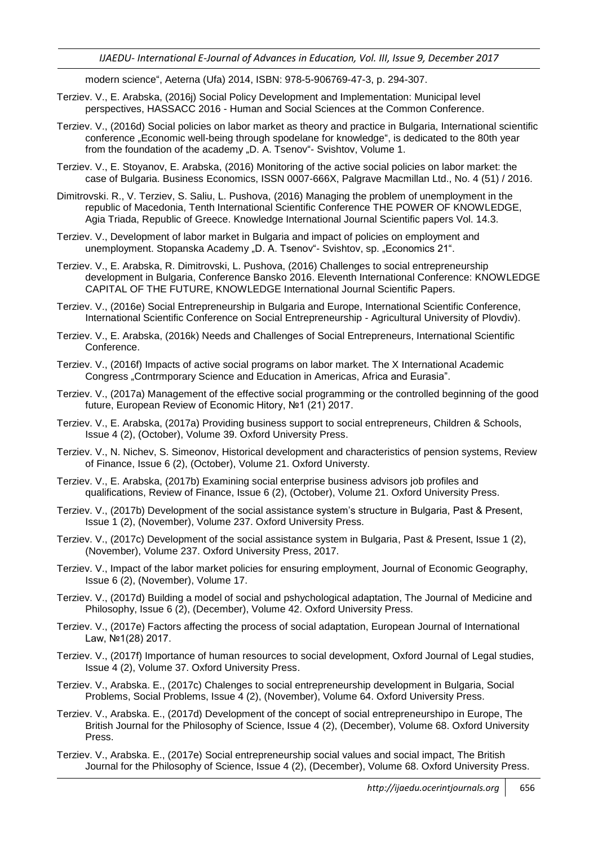modern science", Aeterna (Ufa) 2014, ISBN: 978-5-906769-47-3, p. 294-307.

- Terziev. V., E. Arabska, (2016j) Social Policy Development and Implementation: Municipal level perspectives, HASSACC 2016 - Human and Social Sciences at the Common Conference.
- Terziev. V., (2016d) Social policies on labor market as theory and practice in Bulgaria, International scientific conference "Economic well-being through spodelane for knowledge", is dedicated to the 80th year from the foundation of the academy "D. A. Tsenov"- Svishtov, Volume 1.
- Terziev. V., E. Stoyanov, E. Arabska, (2016) Monitoring of the active social policies on labor market: the case of Bulgaria. Business Economics, ISSN 0007-666X, Palgrave Macmillan Ltd., No. 4 (51) / 2016.
- Dimitrovski. R., V. Terziev, S. Saliu, L. Pushova, (2016) Managing the problem of unemployment in the republic of Macedonia, Tenth International Scientific Conference THE POWER OF KNOWLEDGE, Agia Triada, Republic of Greece. Knowledge International Journal Scientific papers Vol. 14.3.
- Terziev. V., Development of labor market in Bulgaria and impact of policies on employment and unemployment. Stopanska Academy "D. A. Tsenov"- Svishtov, sp. "Economics 21".
- Terziev. V., E. Arabska, R. Dimitrovski, L. Pushova, (2016) Challenges to social entrepreneurship development in Bulgaria, Conference Bansko 2016. Eleventh International Conference: KNOWLEDGE CAPITAL OF THE FUTURE, KNOWLEDGE International Journal Scientific Papers.
- Terziev. V., (2016e) Social Entrepreneurship in Bulgaria and Europe, International Scientific Conference, International Scientific Conference on Social Entrepreneurship - Agricultural University of Plovdiv).
- Terziev. V., E. Arabska, (2016k) Needs and Challenges of Social Entrepreneurs, International Scientific Conference.
- Terziev. V., (2016f) Impacts of active social programs on labor market. The X International Academic Congress "Contrmporary Science and Education in Americas, Africa and Eurasia".
- Terziev. V., (2017a) Management of the effective social programming or the controlled beginning of the good future, European Review of Economic Hitory, №1 (21) 2017.
- Terziev. V., E. Arabska, (2017a) Providing business support to social entrepreneurs, Children & Schools, Issue 4 (2), (October), Volume 39. Oxford University Press.
- Terziev. V., N. Nichev, S. Simeonov, Historical development and characteristics of pension systems, Review of Finance, Issue 6 (2), (October), Volume 21. Oxford Universty.
- Terziev. V., E. Arabska, (2017b) Examining social enterprise business advisors job profiles and qualifications, Review of Finance, Issue 6 (2), (October), Volume 21. Oxford University Press.
- Terziev. V., (2017b) Development of the social assistance system"s structure in Bulgaria, Past & Present, Issue 1 (2), (November), Volume 237. Oxford University Press.
- Terziev. V., (2017c) Development of the social assistance system in Bulgaria, Past & Present, Issue 1 (2), (November), Volume 237. Oxford University Press, 2017.
- Terziev. V., Impact of the labor market policies for ensuring employment, Journal of Economic Geography, Issue 6 (2), (November), Volume 17.
- Terziev. V., (2017d) Building a model of social and pshychological adaptation, The Journal of Medicine and Philosophy, Issue 6 (2), (December), Volume 42. Oxford University Press.
- Terziev. V., (2017e) Factors affecting the process of social adaptation, European Journal of International Law, №1(28) 2017.
- Terziev. V., (2017f) Importance of human resources to social development, Oxford Journal of Legal studies, Issue 4 (2), Volume 37. Oxford University Press.
- Terziev. V., Arabska. E., (2017c) Chalenges to social entrepreneurship development in Bulgaria, Social Problems, Social Problems, Issue 4 (2), (November), Volume 64. Oxford University Press.
- Terziev. V., Arabska. E., (2017d) Development of the concept of social entrepreneurshipo in Europe, The British Journal for the Philosophy of Science, Issue 4 (2), (December), Volume 68. Oxford University Press.
- Terziev. V., Arabska. E., (2017e) Social entrepreneurship social values and social impact, The British Journal for the Philosophy of Science, Issue 4 (2), (December), Volume 68. Oxford University Press.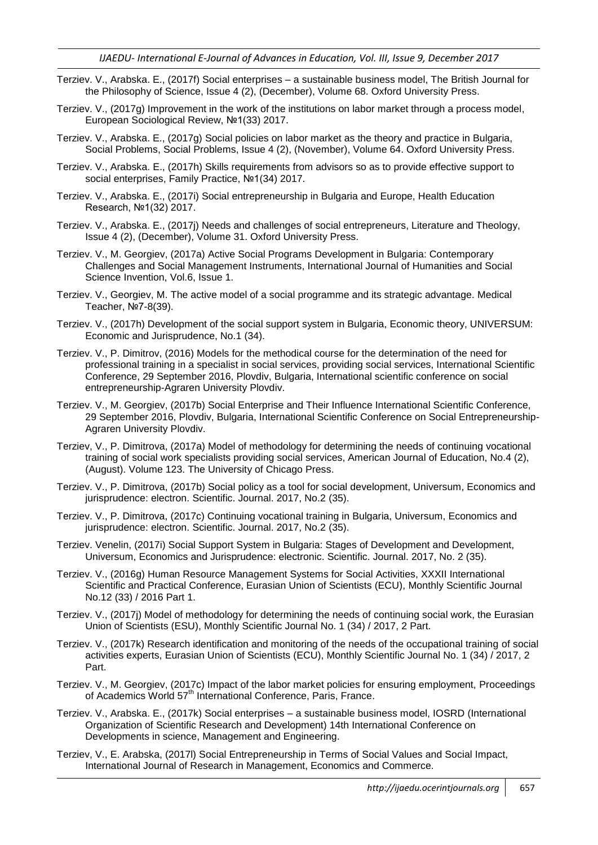- Terziev. V., Arabska. E., (2017f) Social enterprises a sustainable business model, The British Journal for the Philosophy of Science, Issue 4 (2), (December), Volume 68. Oxford University Press.
- Terziev. V., (2017g) Improvement in the work of the institutions on labor market through a process model, European Sociological Review, №1(33) 2017.
- Terziev. V., Arabska. E., (2017g) Social policies on labor market as the theory and practice in Bulgaria, Social Problems, Social Problems, Issue 4 (2), (November), Volume 64. Oxford University Press.
- Terziev. V., Arabska. E., (2017h) Skills requirements from advisors so as to provide effective support to social enterprises, Family Practice, №1(34) 2017.
- Terziev. V., Arabska. E., (2017i) Social entrepreneurship in Bulgaria and Europe, Health Education Research, №1(32) 2017.
- Terziev. V., Arabska. E., (2017j) Needs and challenges of social entrepreneurs, Literature and Theology, Issue 4 (2), (December), Volume 31. Oxford University Press.
- Terziev. V., M. Georgiev, (2017a) Active Social Programs Development in Bulgaria: Contemporary Challenges and Social Management Instruments, International Journal of Humanities and Social Science Invention, Vol.6, Issue 1.
- Terziev. V., Georgiev, M. The active model of a social programme and its strategic advantage. Medical Teacher, №7-8(39).
- Terziev. V., (2017h) Development of the social support system in Bulgaria, Economic theory, UNIVERSUM: Economic and Jurisprudence, No.1 (34).
- Terziev. V., P. Dimitrov, (2016) Models for the methodical course for the determination of the need for professional training in a specialist in social services, providing social services, International Scientific Conference, 29 September 2016, Plovdiv, Bulgaria, International scientific conference on social entrepreneurship-Agraren University Plovdiv.
- Terziev. V., M. Georgiev, (2017b) Social Enterprise and Their Influence International Scientific Conference, 29 September 2016, Plovdiv, Bulgaria, International Scientific Conference on Social Entrepreneurship-Agraren University Plovdiv.
- Terziev, V., P. Dimitrova, (2017a) Model of methodology for determining the needs of continuing vocational training of social work specialists providing social services, American Journal of Education, No.4 (2), (August). Volume 123. The University of Chicago Press.
- Terziev. V., P. Dimitrova, (2017b) Social policy as a tool for social development, Universum, Economics and jurisprudence: electron. Scientific. Journal. 2017, No.2 (35).
- Terziev. V., P. Dimitrova, (2017c) Continuing vocational training in Bulgaria, Universum, Economics and jurisprudence: electron. Scientific. Journal. 2017, No.2 (35).
- Terziev. Venelin, (2017i) Social Support System in Bulgaria: Stages of Development and Development, Universum, Economics and Jurisprudence: electronic. Scientific. Journal. 2017, No. 2 (35).
- Terziev. V., (2016g) Human Resource Management Systems for Social Activities, XXXII International Scientific and Practical Conference, Eurasian Union of Scientists (ECU), Monthly Scientific Journal No.12 (33) / 2016 Part 1.
- Terziev. V., (2017j) Model of methodology for determining the needs of continuing social work, the Eurasian Union of Scientists (ESU), Monthly Scientific Journal No. 1 (34) / 2017, 2 Part.
- Terziev. V., (2017k) Research identification and monitoring of the needs of the occupational training of social activities experts, Eurasian Union of Scientists (ECU), Monthly Scientific Journal No. 1 (34) / 2017, 2 Part.
- Terziev. V., M. Georgiev, (2017c) Impact of the labor market policies for ensuring employment, Proceedings of Academics World 57<sup>th</sup> International Conference, Paris, France.
- Terziev. V., Arabska. E., (2017k) Social enterprises a sustainable business model, IOSRD (International Organization of Scientific Research and Development) 14th International Conference on Developments in science, Management and Engineering.
- Terziev, V., E. Arabska, (2017l) Social Entrepreneurship in Terms of Social Values and Social Impact, International Journal of Research in Management, Economics and Commerce.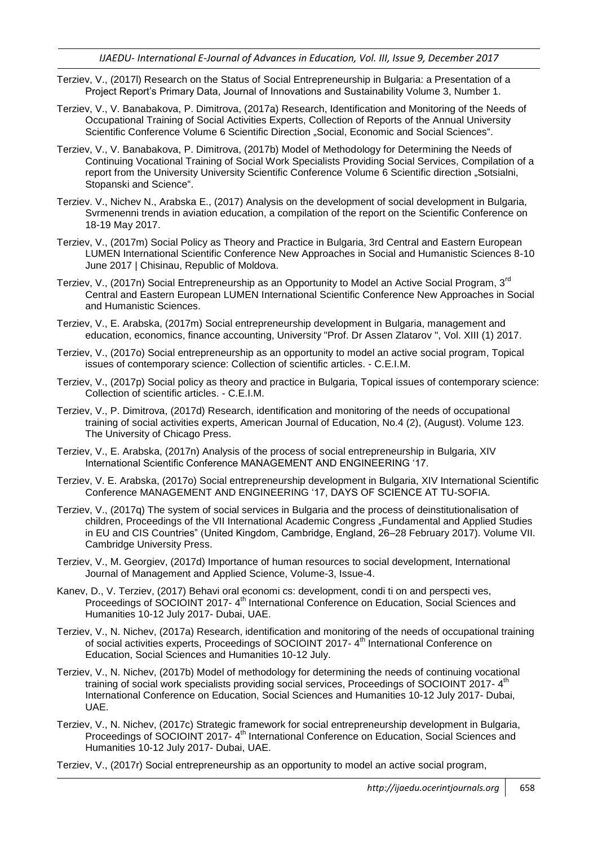- Terziev, V., (2017l) Research on the Status of Social Entrepreneurship in Bulgaria: a Presentation of a Project Report"s Primary Data, Journal of Innovations and Sustainability Volume 3, Number 1.
- Terziev, V., V. Banabakova, P. Dimitrova, (2017a) Research, Identification and Monitoring of the Needs of Occupational Training of Social Activities Experts, Collection of Reports of the Annual University Scientific Conference Volume 6 Scientific Direction "Social, Economic and Social Sciences".
- Terziev, V., V. Banabakova, P. Dimitrova, (2017b) Model of Methodology for Determining the Needs of Continuing Vocational Training of Social Work Specialists Providing Social Services, Compilation of a report from the University University Scientific Conference Volume 6 Scientific direction "Sotsialni, Stopanski and Science".
- Terziev. V., Nichev N., Arabska E., (2017) Analysis on the development of social development in Bulgaria, Svrmenenni trends in aviation education, a compilation of the report on the Scientific Conference on 18-19 May 2017.
- Terziev, V., (2017m) Social Policy as Theory and Practice in Bulgaria, 3rd Central and Eastern European LUMEN International Scientific Conference New Approaches in Social and Humanistic Sciences 8-10 June 2017 | Chisinau, Republic of Moldova.
- Terziev, V., (2017n) Social Entrepreneurship as an Opportunity to Model an Active Social Program, 3<sup>rd</sup> Central and Eastern European LUMEN International Scientific Conference New Approaches in Social and Humanistic Sciences.
- Terziev, V., E. Arabska, (2017m) Social entrepreneurship development in Bulgaria, management and education, economics, finance accounting, University "Prof. Dr Assen Zlatarov ", Vol. XIII (1) 2017.
- Terziev, V., (2017o) Social entrepreneurship as an opportunity to model an active social program, Topical issues of contemporary science: Collection of scientific articles. - C.E.I.M.
- Terziev, V., (2017p) Social policy as theory and practice in Bulgaria, Topical issues of contemporary science: Collection of scientific articles. - C.E.I.M.
- Terziev, V., P. Dimitrova, (2017d) Research, identification and monitoring of the needs of occupational training of social activities experts, American Journal of Education, No.4 (2), (August). Volume 123. The University of Chicago Press.
- Terziev, V., E. Arabska, (2017n) Analysis of the process of social entrepreneurship in Bulgaria, XIV International Scientific Conference MANAGEMENT AND ENGINEERING "17.
- Terziev, V. E. Arabska, (2017o) Social entrepreneurship development in Bulgaria, XIV International Scientific Conference MANAGEMENT AND ENGINEERING "17, DAYS OF SCIENCE AT TU-SOFIA.
- Terziev, V., (2017q) The system of social services in Bulgaria and the process of deinstitutionalisation of children, Proceedings of the VII International Academic Congress "Fundamental and Applied Studies in EU and CIS Countries" (United Kingdom, Cambridge, England, 26–28 February 2017). Volume VII. Cambridge University Press.
- Terziev, V., M. Georgiev, (2017d) Importance of human resources to social development, International Journal of Management and Applied Science, Volume-3, Issue-4.
- Kanev, D., V. Terziev, (2017) Behavi oral economi cs: development, condi ti on and perspecti ves, Proceedings of SOCIOINT 2017- 4<sup>th</sup> International Conference on Education, Social Sciences and Humanities 10-12 July 2017- Dubai, UAE.
- Terziev, V., N. Nichev, (2017a) Research, identification and monitoring of the needs of occupational training of social activities experts, Proceedings of SOCIOINT 2017- 4<sup>th I</sup>nternational Conference on Education, Social Sciences and Humanities 10-12 July.
- Terziev, V., N. Nichev, (2017b) Model of methodology for determining the needs of continuing vocational training of social work specialists providing social services, Proceedings of SOCIOINT 2017-4<sup>th</sup> International Conference on Education, Social Sciences and Humanities 10-12 July 2017- Dubai, UAE.
- Terziev, V., N. Nichev, (2017c) Strategic framework for social entrepreneurship development in Bulgaria, Proceedings of SOCIOINT 2017- 4<sup>th</sup> International Conference on Education, Social Sciences and Humanities 10-12 July 2017- Dubai, UAE.

Terziev, V., (2017r) Social entrepreneurship as an opportunity to model an active social program,